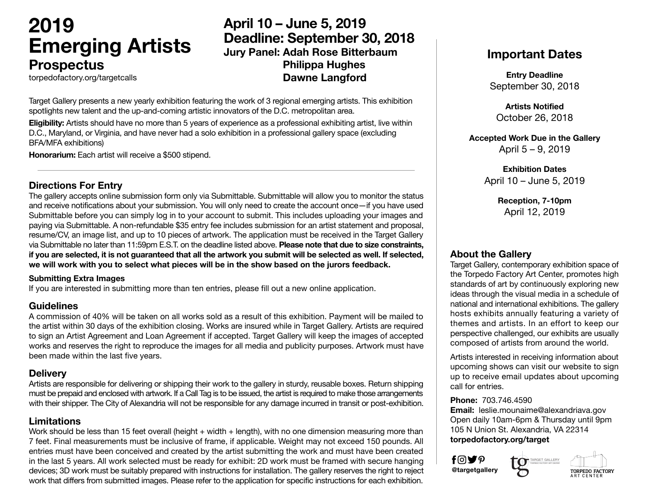# **2019 Emerging Artists Prospectus**

## **April 10 – June 5, 2019 Deadline: September 30, 2018 Jury Panel: Adah Rose Bitterbaum Philippa Hughes Dawne Langford**

torpedofactory.org/targetcalls

Target Gallery presents a new yearly exhibition featuring the work of 3 regional emerging artists. This exhibition spotlights new talent and the up-and-coming artistic innovators of the D.C. metropolitan area.

**Eligibility:** Artists should have no more than 5 years of experience as a professional exhibiting artist, live within D.C., Maryland, or Virginia, and have never had a solo exhibition in a professional gallery space (excluding BFA/MFA exhibitions)

**Honorarium:** Each artist will receive a \$500 stipend.

#### **Directions For Entry**

The gallery accepts online submission form only via Submittable. Submittable will allow you to monitor the status and receive notifications about your submission. You will only need to create the account once—if you have used Submittable before you can simply log in to your account to submit. This includes uploading your images and paying via Submittable. A non-refundable \$35 entry fee includes submission for an artist statement and proposal, resume/CV, an image list, and up to 10 pieces of artwork. The application must be received in the Target Gallery via Submittable no later than 11:59pm E.S.T. on the deadline listed above. **Please note that due to size constraints, if you are selected, it is not guaranteed that all the artwork you submit will be selected as well. If selected, we will work with you to select what pieces will be in the show based on the jurors feedback.** 

#### **Submitting Extra Images**

If you are interested in submitting more than ten entries, please fill out a new online application.

#### **Guidelines**

A commission of 40% will be taken on all works sold as a result of this exhibition. Payment will be mailed to the artist within 30 days of the exhibition closing. Works are insured while in Target Gallery. Artists are required to sign an Artist Agreement and Loan Agreement if accepted. Target Gallery will keep the images of accepted works and reserves the right to reproduce the images for all media and publicity purposes. Artwork must have been made within the last five years.

#### **Delivery**

Artists are responsible for delivering or shipping their work to the gallery in sturdy, reusable boxes. Return shipping must be prepaid and enclosed with artwork. If a Call Tag is to be issued, the artist is required to make those arrangements with their shipper. The City of Alexandria will not be responsible for any damage incurred in transit or post-exhibition.

#### **Limitations**

Work should be less than 15 feet overall (height + width + length), with no one dimension measuring more than 7 feet. Final measurements must be inclusive of frame, if applicable. Weight may not exceed 150 pounds. All entries must have been conceived and created by the artist submitting the work and must have been created in the last 5 years. All work selected must be ready for exhibit: 2D work must be framed with secure hanging devices; 3D work must be suitably prepared with instructions for installation. The gallery reserves the right to reject work that differs from submitted images. Please refer to the application for specific instructions for each exhibition.

## **Important Dates**

**Entry Deadline** September 30, 2018

**Artists Notified** October 26, 2018

**Accepted Work Due in the Gallery** April 5 – 9, 2019

> **Exhibition Dates** April 10 – June 5, 2019

> > **Reception, 7-10pm** April 12, 2019

#### **About the Gallery**

Target Gallery, contemporary exhibition space of the Torpedo Factory Art Center, promotes high standards of art by continuously exploring new ideas through the visual media in a schedule of national and international exhibitions. The gallery hosts exhibits annually featuring a variety of themes and artists. In an effort to keep our perspective challenged, our exhibits are usually composed of artists from around the world.

Artists interested in receiving information about upcoming shows can visit our website to sign up to receive email updates about upcoming call for entries.

#### **Phone:** 703.746.4590

**Email:** leslie.mounaime@alexandriava.gov Open daily 10am-6pm & Thursday until 9pm 105 N Union St. Alexandria, VA 22314 **torpedofactory.org/target**